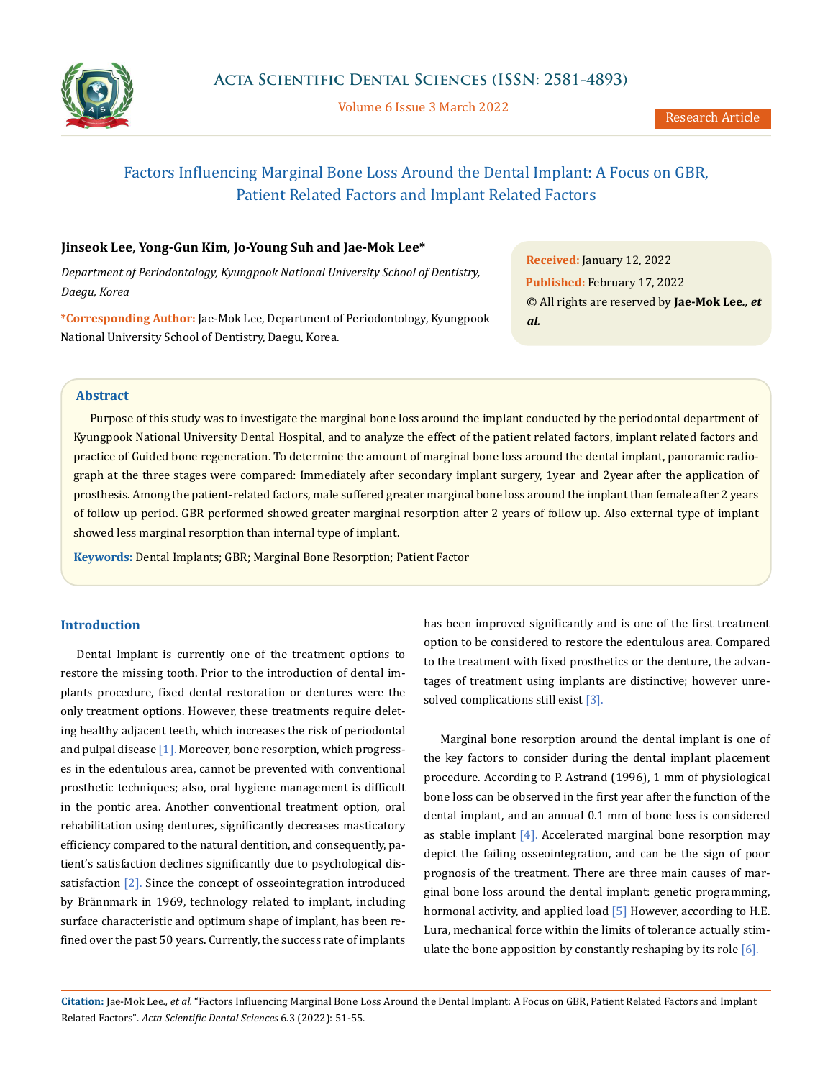

Volume 6 Issue 3 March 2022

# Factors Influencing Marginal Bone Loss Around the Dental Implant: A Focus on GBR, Patient Related Factors and Implant Related Factors

## **Jinseok Lee, Yong-Gun Kim, Jo-Young Suh and Jae-Mok Lee\***

*Department of Periodontology, Kyungpook National University School of Dentistry, Daegu, Korea*

**\*Corresponding Author:** Jae-Mok Lee, Department of Periodontology, Kyungpook National University School of Dentistry, Daegu, Korea.

**Received:** January 12, 2022 **Published:** February 17, 2022 © All rights are reserved by **Jae-Mok Lee***., et al.*

### **Abstract**

Purpose of this study was to investigate the marginal bone loss around the implant conducted by the periodontal department of Kyungpook National University Dental Hospital, and to analyze the effect of the patient related factors, implant related factors and practice of Guided bone regeneration. To determine the amount of marginal bone loss around the dental implant, panoramic radiograph at the three stages were compared: Immediately after secondary implant surgery, 1year and 2year after the application of prosthesis. Among the patient-related factors, male suffered greater marginal bone loss around the implant than female after 2 years of follow up period. GBR performed showed greater marginal resorption after 2 years of follow up. Also external type of implant showed less marginal resorption than internal type of implant.

**Keywords:** Dental Implants; GBR; Marginal Bone Resorption; Patient Factor

#### **Introduction**

Dental Implant is currently one of the treatment options to restore the missing tooth. Prior to the introduction of dental implants procedure, fixed dental restoration or dentures were the only treatment options. However, these treatments require deleting healthy adjacent teeth, which increases the risk of periodontal and pulpal disease [1]. Moreover, bone resorption, which progresses in the edentulous area, cannot be prevented with conventional prosthetic techniques; also, oral hygiene management is difficult in the pontic area. Another conventional treatment option, oral rehabilitation using dentures, significantly decreases masticatory efficiency compared to the natural dentition, and consequently, patient's satisfaction declines significantly due to psychological dissatisfaction  $[2]$ . Since the concept of osseointegration introduced by Brännmark in 1969, technology related to implant, including surface characteristic and optimum shape of implant, has been refined over the past 50 years. Currently, the success rate of implants has been improved significantly and is one of the first treatment option to be considered to restore the edentulous area. Compared to the treatment with fixed prosthetics or the denture, the advantages of treatment using implants are distinctive; however unresolved complications still exist [3].

Marginal bone resorption around the dental implant is one of the key factors to consider during the dental implant placement procedure. According to P. Astrand (1996), 1 mm of physiological bone loss can be observed in the first year after the function of the dental implant, and an annual 0.1 mm of bone loss is considered as stable implant  $[4]$ . Accelerated marginal bone resorption may depict the failing osseointegration, and can be the sign of poor prognosis of the treatment. There are three main causes of marginal bone loss around the dental implant: genetic programming, hormonal activity, and applied load [5] However, according to H.E. Lura, mechanical force within the limits of tolerance actually stimulate the bone apposition by constantly reshaping by its role  $[6]$ .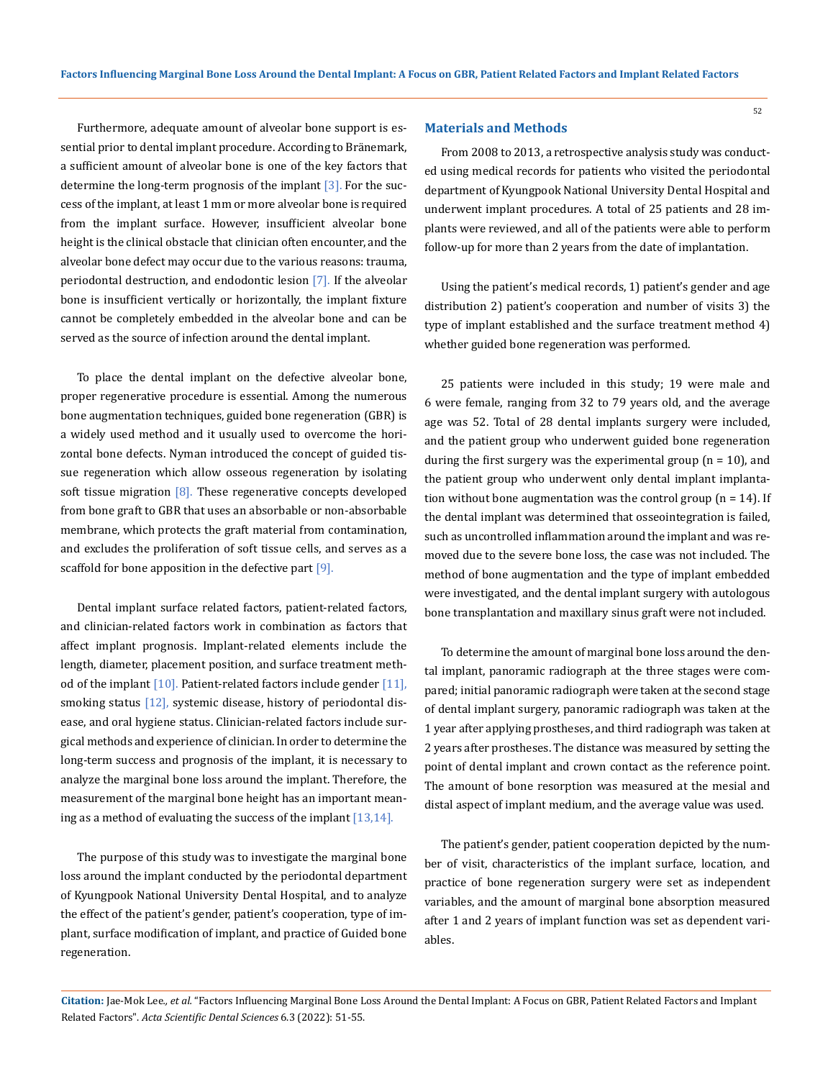Furthermore, adequate amount of alveolar bone support is essential prior to dental implant procedure. According to Bränemark, a sufficient amount of alveolar bone is one of the key factors that determine the long-term prognosis of the implant [3]. For the success of the implant, at least 1 mm or more alveolar bone is required from the implant surface. However, insufficient alveolar bone height is the clinical obstacle that clinician often encounter, and the alveolar bone defect may occur due to the various reasons: trauma, periodontal destruction, and endodontic lesion [7]. If the alveolar bone is insufficient vertically or horizontally, the implant fixture cannot be completely embedded in the alveolar bone and can be served as the source of infection around the dental implant.

To place the dental implant on the defective alveolar bone, proper regenerative procedure is essential. Among the numerous bone augmentation techniques, guided bone regeneration (GBR) is a widely used method and it usually used to overcome the horizontal bone defects. Nyman introduced the concept of guided tissue regeneration which allow osseous regeneration by isolating soft tissue migration  $\lceil 8 \rceil$ . These regenerative concepts developed from bone graft to GBR that uses an absorbable or non-absorbable membrane, which protects the graft material from contamination, and excludes the proliferation of soft tissue cells, and serves as a scaffold for bone apposition in the defective part [9].

Dental implant surface related factors, patient-related factors, and clinician-related factors work in combination as factors that affect implant prognosis. Implant-related elements include the length, diameter, placement position, and surface treatment method of the implant  $[10]$ . Patient-related factors include gender  $[11]$ , smoking status [12], systemic disease, history of periodontal disease, and oral hygiene status. Clinician-related factors include surgical methods and experience of clinician. In order to determine the long-term success and prognosis of the implant, it is necessary to analyze the marginal bone loss around the implant. Therefore, the measurement of the marginal bone height has an important meaning as a method of evaluating the success of the implant  $[13,14]$ .

The purpose of this study was to investigate the marginal bone loss around the implant conducted by the periodontal department of Kyungpook National University Dental Hospital, and to analyze the effect of the patient's gender, patient's cooperation, type of implant, surface modification of implant, and practice of Guided bone regeneration.

#### **Materials and Methods**

From 2008 to 2013, a retrospective analysis study was conducted using medical records for patients who visited the periodontal department of Kyungpook National University Dental Hospital and underwent implant procedures. A total of 25 patients and 28 implants were reviewed, and all of the patients were able to perform follow-up for more than 2 years from the date of implantation.

52

Using the patient's medical records, 1) patient's gender and age distribution 2) patient's cooperation and number of visits 3) the type of implant established and the surface treatment method 4) whether guided bone regeneration was performed.

25 patients were included in this study; 19 were male and 6 were female, ranging from 32 to 79 years old, and the average age was 52. Total of 28 dental implants surgery were included, and the patient group who underwent guided bone regeneration during the first surgery was the experimental group  $(n = 10)$ , and the patient group who underwent only dental implant implantation without bone augmentation was the control group ( $n = 14$ ). If the dental implant was determined that osseointegration is failed, such as uncontrolled inflammation around the implant and was removed due to the severe bone loss, the case was not included. The method of bone augmentation and the type of implant embedded were investigated, and the dental implant surgery with autologous bone transplantation and maxillary sinus graft were not included.

To determine the amount of marginal bone loss around the dental implant, panoramic radiograph at the three stages were compared; initial panoramic radiograph were taken at the second stage of dental implant surgery, panoramic radiograph was taken at the 1 year after applying prostheses, and third radiograph was taken at 2 years after prostheses. The distance was measured by setting the point of dental implant and crown contact as the reference point. The amount of bone resorption was measured at the mesial and distal aspect of implant medium, and the average value was used.

The patient's gender, patient cooperation depicted by the number of visit, characteristics of the implant surface, location, and practice of bone regeneration surgery were set as independent variables, and the amount of marginal bone absorption measured after 1 and 2 years of implant function was set as dependent variables.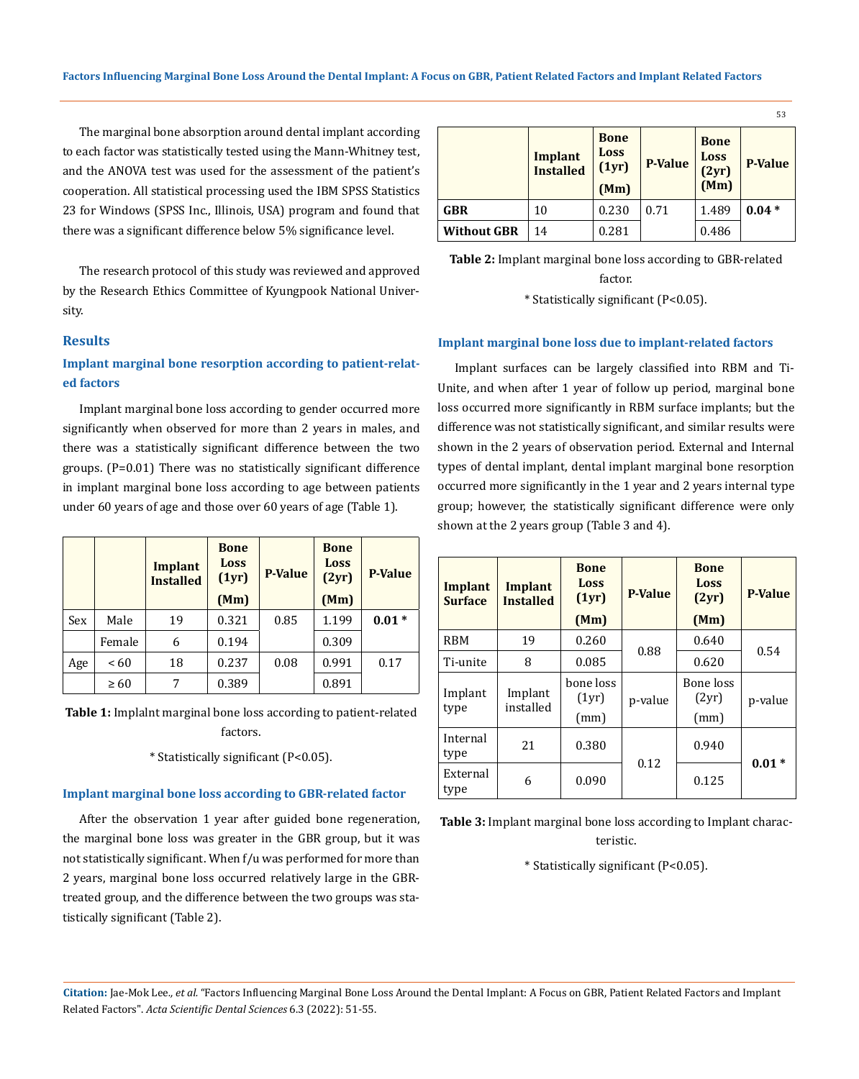The marginal bone absorption around dental implant according to each factor was statistically tested using the Mann-Whitney test, and the ANOVA test was used for the assessment of the patient's cooperation. All statistical processing used the IBM SPSS Statistics 23 for Windows (SPSS Inc., Illinois, USA) program and found that there was a significant difference below 5% significance level.

The research protocol of this study was reviewed and approved by the Research Ethics Committee of Kyungpook National University.

#### **Results**

# **Implant marginal bone resorption according to patient-related factors**

Implant marginal bone loss according to gender occurred more significantly when observed for more than 2 years in males, and there was a statistically significant difference between the two groups. (P=0.01) There was no statistically significant difference in implant marginal bone loss according to age between patients under 60 years of age and those over 60 years of age (Table 1).

|     |           | Implant<br><b>Installed</b> | <b>Bone</b><br>Loss<br>(1yr)<br>(Mm) | <b>P-Value</b> | <b>Bone</b><br><b>Loss</b><br>(2yr)<br>(Mm) | <b>P-Value</b> |
|-----|-----------|-----------------------------|--------------------------------------|----------------|---------------------------------------------|----------------|
| Sex | Male      | 19                          | 0.321                                | 0.85           | 1.199                                       | $0.01*$        |
|     | Female    | 6                           | 0.194                                |                | 0.309                                       |                |
| Age | ~< 60     | 18                          | 0.237                                | 0.08           | 0.991                                       | 0.17           |
|     | $\geq 60$ | 7                           | 0.389                                |                | 0.891                                       |                |

**Table 1:** Implalnt marginal bone loss according to patient-related factors.

\* Statistically significant (P<0.05).

#### **Implant marginal bone loss according to GBR-related factor**

After the observation 1 year after guided bone regeneration, the marginal bone loss was greater in the GBR group, but it was not statistically significant. When f/u was performed for more than 2 years, marginal bone loss occurred relatively large in the GBRtreated group, and the difference between the two groups was statistically significant (Table 2).

|                    | <b>Implant</b><br><b>Installed</b> | <b>Bone</b><br><b>Loss</b><br>(1yr)<br>(Mm) | <b>P-Value</b> | <b>Bone</b><br><b>Loss</b><br>(2yr)<br>(Mm) | <b>P-Value</b> |
|--------------------|------------------------------------|---------------------------------------------|----------------|---------------------------------------------|----------------|
| <b>GBR</b>         | 10                                 | 0.230                                       | 0.71           | 1.489                                       | $0.04*$        |
| <b>Without GBR</b> | 14                                 | 0.281                                       |                | 0.486                                       |                |

**Table 2:** Implant marginal bone loss according to GBR-related factor.

\* Statistically significant (P<0.05).

#### **Implant marginal bone loss due to implant-related factors**

Implant surfaces can be largely classified into RBM and Ti-Unite, and when after 1 year of follow up period, marginal bone loss occurred more significantly in RBM surface implants; but the difference was not statistically significant, and similar results were shown in the 2 years of observation period. External and Internal types of dental implant, dental implant marginal bone resorption occurred more significantly in the 1 year and 2 years internal type group; however, the statistically significant difference were only shown at the 2 years group (Table 3 and 4).

| Implant<br><b>Surface</b> | Implant<br><b>Installed</b> | <b>Bone</b><br>Loss<br>(1yr)<br>(Mm) | <b>P-Value</b> | <b>Bone</b><br>Loss<br>(2yr)<br>(Mm) | <b>P-Value</b> |
|---------------------------|-----------------------------|--------------------------------------|----------------|--------------------------------------|----------------|
| <b>RBM</b>                | 19                          | 0.260                                |                | 0.640                                | 0.54           |
| Ti-unite                  | 8                           | 0.085                                | 0.88           | 0.620                                |                |
| Implant<br>type           | Implant<br>installed        | bone loss<br>(1yr)<br>(mm)           | p-value        | Bone loss<br>(2yr)<br>(mm)           | p-value        |
| Internal<br>type          | 21                          | 0.380                                | 0.12           | 0.940                                | $0.01*$        |
| External<br>type          | 6                           | 0.090                                |                | 0.125                                |                |

**Table 3:** Implant marginal bone loss according to Implant characteristic.

\* Statistically significant (P<0.05).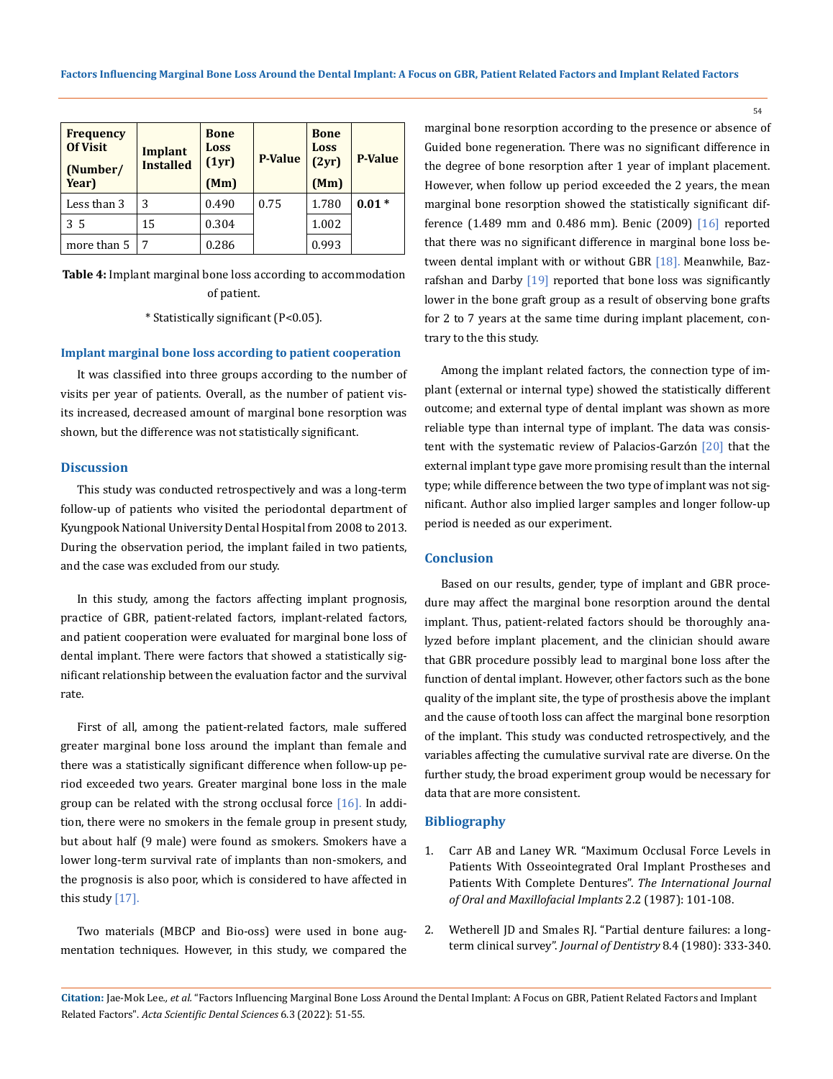| <b>Frequency</b><br><b>Of Visit</b><br>(Number/<br>Year) | Implant<br><b>Installed</b> | <b>Bone</b><br>Loss<br>(1yr)<br>(Mm) | <b>P-Value</b> | <b>Bone</b><br>Loss<br>(2yr)<br>(Mm) | <b>P-Value</b> |
|----------------------------------------------------------|-----------------------------|--------------------------------------|----------------|--------------------------------------|----------------|
| Less than 3                                              | 3                           | 0.490                                | 0.75           | 1.780                                | $0.01*$        |
| 35                                                       | 15                          | 0.304                                |                | 1.002                                |                |
| more than 5                                              |                             | 0.286                                |                | 0.993                                |                |

**Table 4:** Implant marginal bone loss according to accommodation of patient.

\* Statistically significant (P<0.05).

#### **Implant marginal bone loss according to patient cooperation**

It was classified into three groups according to the number of visits per year of patients. Overall, as the number of patient visits increased, decreased amount of marginal bone resorption was shown, but the difference was not statistically significant.

#### **Discussion**

This study was conducted retrospectively and was a long-term follow-up of patients who visited the periodontal department of Kyungpook National University Dental Hospital from 2008 to 2013. During the observation period, the implant failed in two patients, and the case was excluded from our study.

In this study, among the factors affecting implant prognosis, practice of GBR, patient-related factors, implant-related factors, and patient cooperation were evaluated for marginal bone loss of dental implant. There were factors that showed a statistically significant relationship between the evaluation factor and the survival rate.

First of all, among the patient-related factors, male suffered greater marginal bone loss around the implant than female and there was a statistically significant difference when follow-up period exceeded two years. Greater marginal bone loss in the male group can be related with the strong occlusal force [16]. In addition, there were no smokers in the female group in present study, but about half (9 male) were found as smokers. Smokers have a lower long-term survival rate of implants than non-smokers, and the prognosis is also poor, which is considered to have affected in this study  $[17]$ .

Two materials (MBCP and Bio-oss) were used in bone augmentation techniques. However, in this study, we compared the marginal bone resorption according to the presence or absence of Guided bone regeneration. There was no significant difference in the degree of bone resorption after 1 year of implant placement. However, when follow up period exceeded the 2 years, the mean marginal bone resorption showed the statistically significant difference (1.489 mm and 0.486 mm). Benic (2009) [16] reported that there was no significant difference in marginal bone loss between dental implant with or without GBR [18]. Meanwhile, Bazrafshan and Darby [19] reported that bone loss was significantly lower in the bone graft group as a result of observing bone grafts for 2 to 7 years at the same time during implant placement, contrary to the this study.

Among the implant related factors, the connection type of implant (external or internal type) showed the statistically different outcome; and external type of dental implant was shown as more reliable type than internal type of implant. The data was consistent with the systematic review of Palacios-Garzón [20] that the external implant type gave more promising result than the internal type; while difference between the two type of implant was not significant. Author also implied larger samples and longer follow-up period is needed as our experiment.

#### **Conclusion**

Based on our results, gender, type of implant and GBR procedure may affect the marginal bone resorption around the dental implant. Thus, patient-related factors should be thoroughly analyzed before implant placement, and the clinician should aware that GBR procedure possibly lead to marginal bone loss after the function of dental implant. However, other factors such as the bone quality of the implant site, the type of prosthesis above the implant and the cause of tooth loss can affect the marginal bone resorption of the implant. This study was conducted retrospectively, and the variables affecting the cumulative survival rate are diverse. On the further study, the broad experiment group would be necessary for data that are more consistent.

#### **Bibliography**

- 1. [Carr AB and Laney WR. "Maximum Occlusal Force Levels in](https://pubmed.ncbi.nlm.nih.gov/3325414/) [Patients With Osseointegrated Oral Implant Prostheses and](https://pubmed.ncbi.nlm.nih.gov/3325414/)  [Patients With Complete Dentures".](https://pubmed.ncbi.nlm.nih.gov/3325414/) *The International Journal [of Oral and Maxillofacial Implants](https://pubmed.ncbi.nlm.nih.gov/3325414/)* 2.2 (1987): 101-108.
- 2. [Wetherell JD and Smales RJ. "Partial denture failures: a long](https://www.sciencedirect.com/science/article/abs/pii/0300571280900494)term clinical survey". *[Journal of Dentistry](https://www.sciencedirect.com/science/article/abs/pii/0300571280900494)* 8.4 (1980): 333-340.

**Citation:** Jae-Mok Lee*., et al.* "Factors Influencing Marginal Bone Loss Around the Dental Implant: A Focus on GBR, Patient Related Factors and Implant Related Factors". *Acta Scientific Dental Sciences* 6.3 (2022): 51-55.

54